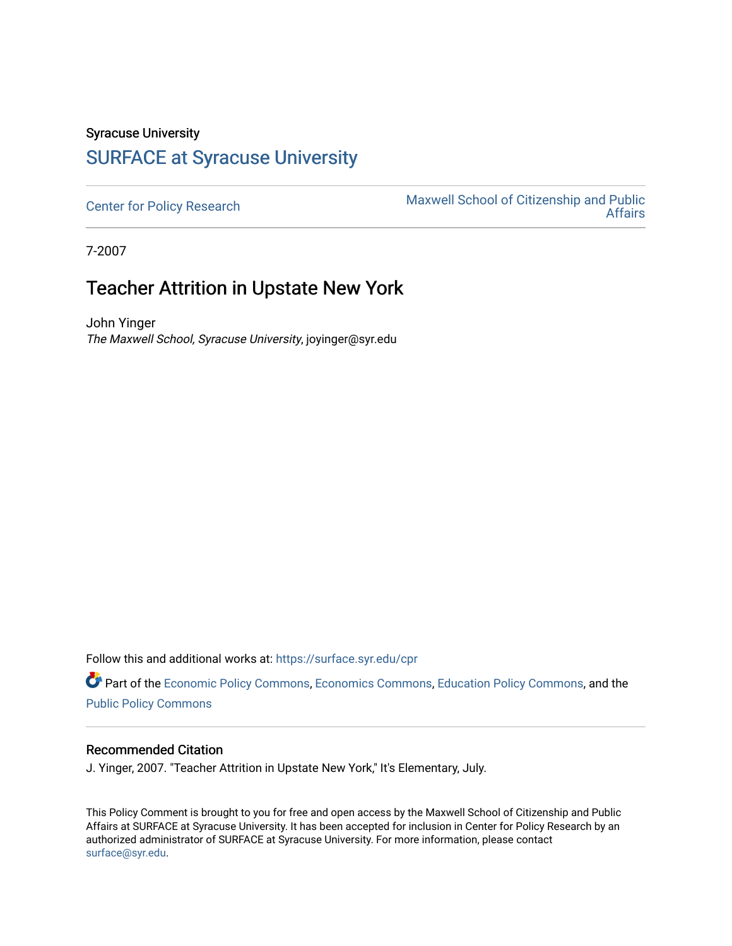## Syracuse University [SURFACE at Syracuse University](https://surface.syr.edu/)

[Center for Policy Research](https://surface.syr.edu/cpr) Maxwell School of Citizenship and Public<br>Affairs [Affairs](https://surface.syr.edu/maxwell) 

7-2007

## Teacher Attrition in Upstate New York

John Yinger The Maxwell School, Syracuse University, joyinger@syr.edu

Follow this and additional works at: [https://surface.syr.edu/cpr](https://surface.syr.edu/cpr?utm_source=surface.syr.edu%2Fcpr%2F336&utm_medium=PDF&utm_campaign=PDFCoverPages) 

Part of the [Economic Policy Commons](http://network.bepress.com/hgg/discipline/1025?utm_source=surface.syr.edu%2Fcpr%2F336&utm_medium=PDF&utm_campaign=PDFCoverPages), [Economics Commons,](http://network.bepress.com/hgg/discipline/340?utm_source=surface.syr.edu%2Fcpr%2F336&utm_medium=PDF&utm_campaign=PDFCoverPages) [Education Policy Commons](http://network.bepress.com/hgg/discipline/1026?utm_source=surface.syr.edu%2Fcpr%2F336&utm_medium=PDF&utm_campaign=PDFCoverPages), and the [Public Policy Commons](http://network.bepress.com/hgg/discipline/400?utm_source=surface.syr.edu%2Fcpr%2F336&utm_medium=PDF&utm_campaign=PDFCoverPages)

## Recommended Citation

J. Yinger, 2007. "Teacher Attrition in Upstate New York," It's Elementary, July.

This Policy Comment is brought to you for free and open access by the Maxwell School of Citizenship and Public Affairs at SURFACE at Syracuse University. It has been accepted for inclusion in Center for Policy Research by an authorized administrator of SURFACE at Syracuse University. For more information, please contact [surface@syr.edu.](mailto:surface@syr.edu)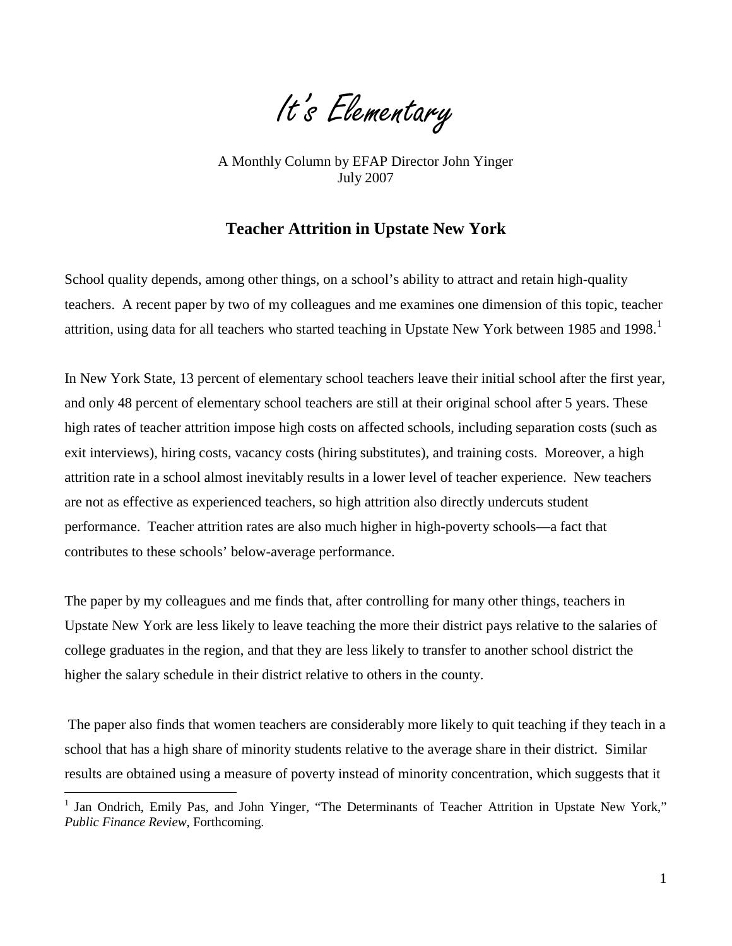It's Elementary

 July 2007 A Monthly Column by EFAP Director John Yinger

## **Teacher Attrition in Upstate New York**

School quality depends, among other things, on a school's ability to attract and retain high-quality teachers. A recent paper by two of my colleagues and me examines one dimension of this topic, teacher attrition, using data for all teachers who started teaching in Upstate New York between 1985 and 1998.<sup>1</sup>

In New York State, 13 percent of elementary school teachers leave their initial school after the first year, and only 48 percent of elementary school teachers are still at their original school after 5 years. These high rates of teacher attrition impose high costs on affected schools, including separation costs (such as exit interviews), hiring costs, vacancy costs (hiring substitutes), and training costs. Moreover, a high attrition rate in a school almost inevitably results in a lower level of teacher experience. New teachers are not as effective as experienced teachers, so high attrition also directly undercuts student performance. Teacher attrition rates are also much higher in high-poverty schools—a fact that contributes to these schools' below-average performance.

The paper by my colleagues and me finds that, after controlling for many other things, teachers in Upstate New York are less likely to leave teaching the more their district pays relative to the salaries of college graduates in the region, and that they are less likely to transfer to another school district the higher the salary schedule in their district relative to others in the county.

The paper also finds that women teachers are considerably more likely to quit teaching if they teach in a school that has a high share of minority students relative to the average share in their district. Similar results are obtained using a measure of poverty instead of minority concentration, which suggests that it

 $\overline{a}$ 

<sup>1</sup> Jan Ondrich, Emily Pas, and John Yinger, "The Determinants of Teacher Attrition in Upstate New York," *Public Finance Review*, Forthcoming.